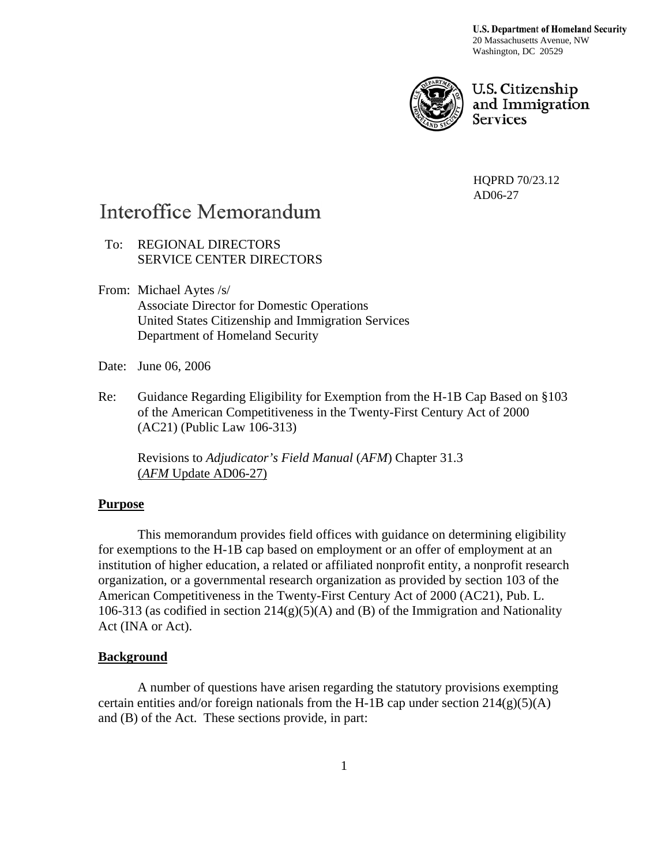**U.S. Department of Homeland Security** 20 Massachusetts Avenue, NW Washington, DC 20529



U.S. Citizenship and Immigration **Services** 

HQPRD 70/23.12 AD06-27

# Interoffice Memorandum

 To: REGIONAL DIRECTORS SERVICE CENTER DIRECTORS

- From: Michael Aytes /s/ Associate Director for Domestic Operations United States Citizenship and Immigration Services Department of Homeland Security
- Date: June 06, 2006
- Re: Guidance Regarding Eligibility for Exemption from the H-1B Cap Based on §103 of the American Competitiveness in the Twenty-First Century Act of 2000 (AC21) (Public Law 106-313)

Revisions to *Adjudicator's Field Manual* (*AFM*) Chapter 31.3 (*AFM* Update AD06-27)

#### **Purpose**

This memorandum provides field offices with guidance on determining eligibility for exemptions to the H-1B cap based on employment or an offer of employment at an institution of higher education, a related or affiliated nonprofit entity, a nonprofit research organization, or a governmental research organization as provided by section 103 of the American Competitiveness in the Twenty-First Century Act of 2000 (AC21), Pub. L. 106-313 (as codified in section  $214(g)(5)(A)$  and (B) of the Immigration and Nationality Act (INA or Act).

#### **Background**

A number of questions have arisen regarding the statutory provisions exempting certain entities and/or foreign nationals from the H-1B cap under section  $214(g)(5)(A)$ and (B) of the Act. These sections provide, in part: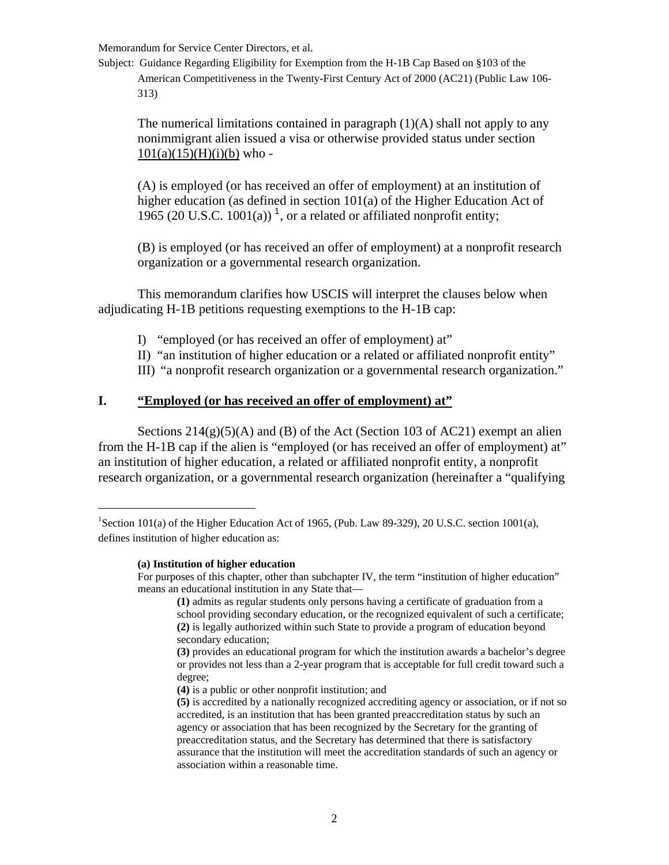Subject: Guidance Regarding Eligibility for Exemption from the H-1B Cap Based on §103 of the American Competitiveness in the Twenty-First Century Act of 2000 (AC21) (Public Law 106- 313)

The numerical limitations contained in paragraph  $(1)(A)$  shall not apply to any nonimmigrant alien issued a visa or otherwise provided status under section  $101(a)(15)(H)(i)(b)$  who -

(A) is employed (or has received an offer of employment) at an institution of higher education (as defined in section 101(a) of the Higher Education Act of [1](#page-1-0)965 (20 U.S.C. 1001(a))<sup>1</sup>, or a related or affiliated nonprofit entity;

(B) is employed (or has received an offer of employment) at a nonprofit research organization or a governmental research organization.

This memorandum clarifies how USCIS will interpret the clauses below when adjudicating H-1B petitions requesting exemptions to the H-1B cap:

- I) "employed (or has received an offer of employment) at"
- II) "an institution of higher education or a related or affiliated nonprofit entity"
- III) "a nonprofit research organization or a governmental research organization."

#### **I. "Employed (or has received an offer of employment) at"**

Sections  $214(g)(5)(A)$  and (B) of the Act (Section 103 of AC21) exempt an alien from the H-1B cap if the alien is "employed (or has received an offer of employment) at" an institution of higher education, a related or affiliated nonprofit entity, a nonprofit research organization, or a governmental research organization (hereinafter a "qualifying

**(a) Institution of higher education** 

l

<span id="page-1-0"></span><sup>&</sup>lt;sup>1</sup>Section 101(a) of the Higher Education Act of 1965, (Pub. Law 89-329), 20 U.S.C. section 1001(a), defines institution of higher education as:

For purposes of this chapter, other than subchapter IV, the term "institution of higher education" means an educational institution in any State that—

**<sup>(1)</sup>** admits as regular students only persons having a certificate of graduation from a school providing secondary education, or the recognized equivalent of such a certificate; **(2)** is legally authorized within such State to provide a program of education beyond secondary education;

**<sup>(3)</sup>** provides an educational program for which the institution awards a bachelor's degree or provides not less than a 2-year program that is acceptable for full credit toward such a degree;

**<sup>(4)</sup>** is a public or other nonprofit institution; and

**<sup>(5)</sup>** is accredited by a nationally recognized accrediting agency or association, or if not so accredited, is an institution that has been granted preaccreditation status by such an agency or association that has been recognized by the Secretary for the granting of preaccreditation status, and the Secretary has determined that there is satisfactory assurance that the institution will meet the accreditation standards of such an agency or association within a reasonable time.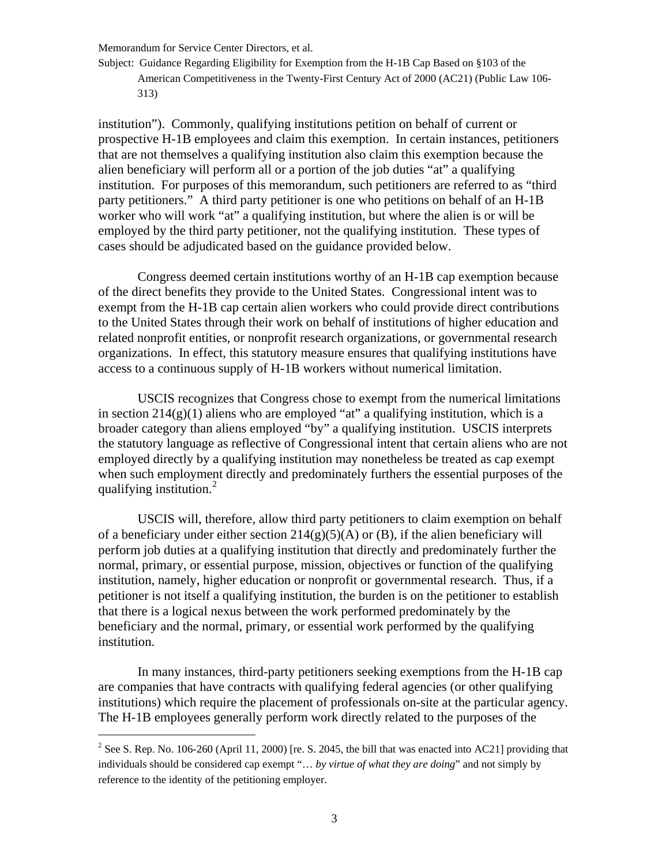Subject: Guidance Regarding Eligibility for Exemption from the H-1B Cap Based on §103 of the American Competitiveness in the Twenty-First Century Act of 2000 (AC21) (Public Law 106- 313)

institution"). Commonly, qualifying institutions petition on behalf of current or prospective H-1B employees and claim this exemption. In certain instances, petitioners that are not themselves a qualifying institution also claim this exemption because the alien beneficiary will perform all or a portion of the job duties "at" a qualifying institution. For purposes of this memorandum, such petitioners are referred to as "third party petitioners." A third party petitioner is one who petitions on behalf of an H-1B worker who will work "at" a qualifying institution, but where the alien is or will be employed by the third party petitioner, not the qualifying institution. These types of cases should be adjudicated based on the guidance provided below.

Congress deemed certain institutions worthy of an H-1B cap exemption because of the direct benefits they provide to the United States. Congressional intent was to exempt from the H-1B cap certain alien workers who could provide direct contributions to the United States through their work on behalf of institutions of higher education and related nonprofit entities, or nonprofit research organizations, or governmental research organizations. In effect, this statutory measure ensures that qualifying institutions have access to a continuous supply of H-1B workers without numerical limitation.

USCIS recognizes that Congress chose to exempt from the numerical limitations in section  $214(g)(1)$  aliens who are employed "at" a qualifying institution, which is a broader category than aliens employed "by" a qualifying institution. USCIS interprets the statutory language as reflective of Congressional intent that certain aliens who are not employed directly by a qualifying institution may nonetheless be treated as cap exempt when such employment directly and predominately furthers the essential purposes of the qualifying institution.<sup>[2](#page-2-0)</sup>

USCIS will, therefore, allow third party petitioners to claim exemption on behalf of a beneficiary under either section  $214(g)(5)(A)$  or (B), if the alien beneficiary will perform job duties at a qualifying institution that directly and predominately further the normal, primary, or essential purpose, mission, objectives or function of the qualifying institution, namely, higher education or nonprofit or governmental research. Thus, if a petitioner is not itself a qualifying institution, the burden is on the petitioner to establish that there is a logical nexus between the work performed predominately by the beneficiary and the normal, primary, or essential work performed by the qualifying institution.

In many instances, third-party petitioners seeking exemptions from the H-1B cap are companies that have contracts with qualifying federal agencies (or other qualifying institutions) which require the placement of professionals on-site at the particular agency. The H-1B employees generally perform work directly related to the purposes of the

l

<span id="page-2-0"></span><sup>&</sup>lt;sup>2</sup> See S. Rep. No. 106-260 (April 11, 2000) [re. S. 2045, the bill that was enacted into AC21] providing that individuals should be considered cap exempt "… *by virtue of what they are doing*" and not simply by reference to the identity of the petitioning employer.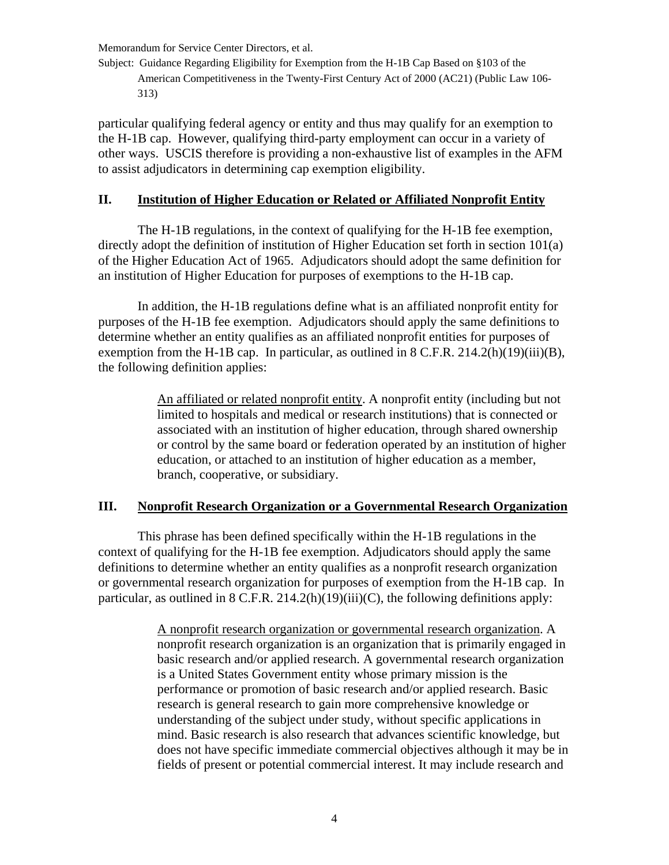Subject: Guidance Regarding Eligibility for Exemption from the H-1B Cap Based on §103 of the American Competitiveness in the Twenty-First Century Act of 2000 (AC21) (Public Law 106- 313)

particular qualifying federal agency or entity and thus may qualify for an exemption to the H-1B cap. However, qualifying third-party employment can occur in a variety of other ways. USCIS therefore is providing a non-exhaustive list of examples in the AFM to assist adjudicators in determining cap exemption eligibility.

## **II. Institution of Higher Education or Related or Affiliated Nonprofit Entity**

The H-1B regulations, in the context of qualifying for the H-1B fee exemption, directly adopt the definition of institution of Higher Education set forth in section 101(a) of the Higher Education Act of 1965. Adjudicators should adopt the same definition for an institution of Higher Education for purposes of exemptions to the H-1B cap.

In addition, the H-1B regulations define what is an affiliated nonprofit entity for purposes of the H-1B fee exemption. Adjudicators should apply the same definitions to determine whether an entity qualifies as an affiliated nonprofit entities for purposes of exemption from the H-1B cap. In particular, as outlined in 8 C.F.R. 214.2(h)(19)(iii)(B), the following definition applies:

> An affiliated or related nonprofit entity. A nonprofit entity (including but not limited to hospitals and medical or research institutions) that is connected or associated with an institution of higher education, through shared ownership or control by the same board or federation operated by an institution of higher education, or attached to an institution of higher education as a member, branch, cooperative, or subsidiary.

## **III. Nonprofit Research Organization or a Governmental Research Organization**

This phrase has been defined specifically within the H-1B regulations in the context of qualifying for the H-1B fee exemption. Adjudicators should apply the same definitions to determine whether an entity qualifies as a nonprofit research organization or governmental research organization for purposes of exemption from the H-1B cap. In particular, as outlined in 8 C.F.R. 214.2(h)(19)(iii)(C), the following definitions apply:

> A nonprofit research organization or governmental research organization. A nonprofit research organization is an organization that is primarily engaged in basic research and/or applied research. A governmental research organization is a United States Government entity whose primary mission is the performance or promotion of basic research and/or applied research. Basic research is general research to gain more comprehensive knowledge or understanding of the subject under study, without specific applications in mind. Basic research is also research that advances scientific knowledge, but does not have specific immediate commercial objectives although it may be in fields of present or potential commercial interest. It may include research and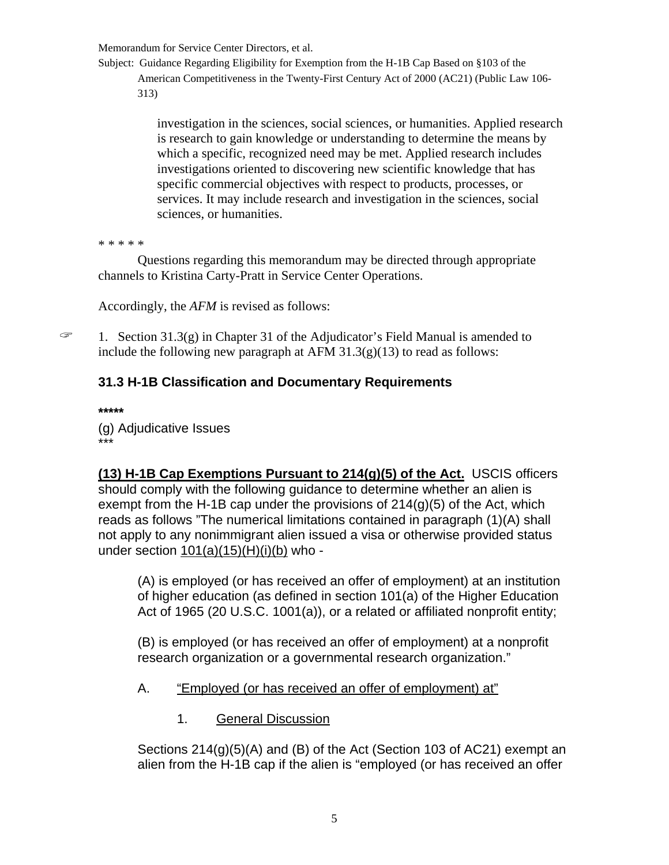Subject: Guidance Regarding Eligibility for Exemption from the H-1B Cap Based on §103 of the American Competitiveness in the Twenty-First Century Act of 2000 (AC21) (Public Law 106- 313)

> investigation in the sciences, social sciences, or humanities. Applied research is research to gain knowledge or understanding to determine the means by which a specific, recognized need may be met. Applied research includes investigations oriented to discovering new scientific knowledge that has specific commercial objectives with respect to products, processes, or services. It may include research and investigation in the sciences, social sciences, or humanities.

\* \* \* \* \*

Questions regarding this memorandum may be directed through appropriate channels to Kristina Carty-Pratt in Service Center Operations.

Accordingly, the *AFM* is revised as follows:

 $\mathcal{F}$  1. Section 31.3(g) in Chapter 31 of the Adjudicator's Field Manual is amended to include the following new paragraph at AFM  $31.3(g)(13)$  to read as follows:

# **31.3 H-1B Classification and Documentary Requirements**

**\*\*\*\*\***  (g) Adjudicative Issues \*\*\*

**(13) H-1B Cap Exemptions Pursuant to 214(g)(5) of the Act.** USCIS officers should comply with the following guidance to determine whether an alien is exempt from the H-1B cap under the provisions of  $214(g)(5)$  of the Act, which reads as follows "The numerical limitations contained in paragraph (1)(A) shall not apply to any nonimmigrant alien issued a visa or otherwise provided status under section  $101(a)(15)(H)(i)(b)$  who -

(A) is employed (or has received an offer of employment) at an institution of higher education (as defined in section 101(a) of the Higher Education Act of 1965 (20 U.S.C. 1001(a)), or a related or affiliated nonprofit entity;

(B) is employed (or has received an offer of employment) at a nonprofit research organization or a governmental research organization."

- A. "Employed (or has received an offer of employment) at"
	- 1. General Discussion

Sections 214(g)(5)(A) and (B) of the Act (Section 103 of AC21) exempt an alien from the H-1B cap if the alien is "employed (or has received an offer

5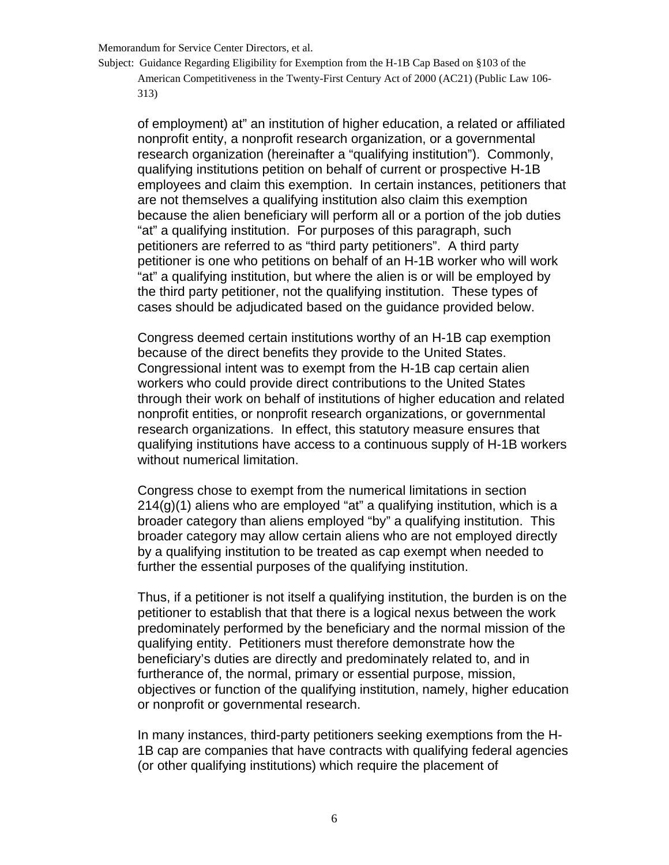Subject: Guidance Regarding Eligibility for Exemption from the H-1B Cap Based on §103 of the American Competitiveness in the Twenty-First Century Act of 2000 (AC21) (Public Law 106- 313)

of employment) at" an institution of higher education, a related or affiliated nonprofit entity, a nonprofit research organization, or a governmental research organization (hereinafter a "qualifying institution"). Commonly, qualifying institutions petition on behalf of current or prospective H-1B employees and claim this exemption. In certain instances, petitioners that are not themselves a qualifying institution also claim this exemption because the alien beneficiary will perform all or a portion of the job duties "at" a qualifying institution. For purposes of this paragraph, such petitioners are referred to as "third party petitioners". A third party petitioner is one who petitions on behalf of an H-1B worker who will work "at" a qualifying institution, but where the alien is or will be employed by the third party petitioner, not the qualifying institution. These types of cases should be adjudicated based on the guidance provided below.

Congress deemed certain institutions worthy of an H-1B cap exemption because of the direct benefits they provide to the United States. Congressional intent was to exempt from the H-1B cap certain alien workers who could provide direct contributions to the United States through their work on behalf of institutions of higher education and related nonprofit entities, or nonprofit research organizations, or governmental research organizations. In effect, this statutory measure ensures that qualifying institutions have access to a continuous supply of H-1B workers without numerical limitation.

Congress chose to exempt from the numerical limitations in section 214(g)(1) aliens who are employed "at" a qualifying institution, which is a broader category than aliens employed "by" a qualifying institution. This broader category may allow certain aliens who are not employed directly by a qualifying institution to be treated as cap exempt when needed to further the essential purposes of the qualifying institution.

Thus, if a petitioner is not itself a qualifying institution, the burden is on the petitioner to establish that that there is a logical nexus between the work predominately performed by the beneficiary and the normal mission of the qualifying entity. Petitioners must therefore demonstrate how the beneficiary's duties are directly and predominately related to, and in furtherance of, the normal, primary or essential purpose, mission, objectives or function of the qualifying institution, namely, higher education or nonprofit or governmental research.

In many instances, third-party petitioners seeking exemptions from the H-1B cap are companies that have contracts with qualifying federal agencies (or other qualifying institutions) which require the placement of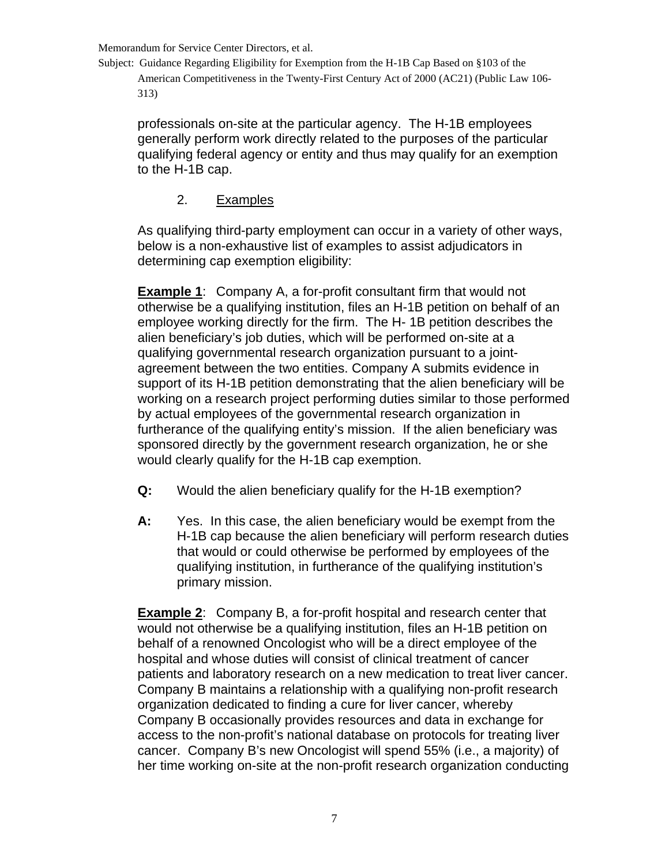Subject: Guidance Regarding Eligibility for Exemption from the H-1B Cap Based on §103 of the American Competitiveness in the Twenty-First Century Act of 2000 (AC21) (Public Law 106- 313)

professionals on-site at the particular agency. The H-1B employees generally perform work directly related to the purposes of the particular qualifying federal agency or entity and thus may qualify for an exemption to the H-1B cap.

## 2. Examples

As qualifying third-party employment can occur in a variety of other ways, below is a non-exhaustive list of examples to assist adjudicators in determining cap exemption eligibility:

**Example 1**: Company A, a for-profit consultant firm that would not otherwise be a qualifying institution, files an H-1B petition on behalf of an employee working directly for the firm. The H- 1B petition describes the alien beneficiary's job duties, which will be performed on-site at a qualifying governmental research organization pursuant to a jointagreement between the two entities. Company A submits evidence in support of its H-1B petition demonstrating that the alien beneficiary will be working on a research project performing duties similar to those performed by actual employees of the governmental research organization in furtherance of the qualifying entity's mission. If the alien beneficiary was sponsored directly by the government research organization, he or she would clearly qualify for the H-1B cap exemption.

- **Q:** Would the alien beneficiary qualify for the H-1B exemption?
- **A:** Yes. In this case, the alien beneficiary would be exempt from the H-1B cap because the alien beneficiary will perform research duties that would or could otherwise be performed by employees of the qualifying institution, in furtherance of the qualifying institution's primary mission.

**Example 2**: Company B, a for-profit hospital and research center that would not otherwise be a qualifying institution, files an H-1B petition on behalf of a renowned Oncologist who will be a direct employee of the hospital and whose duties will consist of clinical treatment of cancer patients and laboratory research on a new medication to treat liver cancer. Company B maintains a relationship with a qualifying non-profit research organization dedicated to finding a cure for liver cancer, whereby Company B occasionally provides resources and data in exchange for access to the non-profit's national database on protocols for treating liver cancer. Company B's new Oncologist will spend 55% (i.e., a majority) of her time working on-site at the non-profit research organization conducting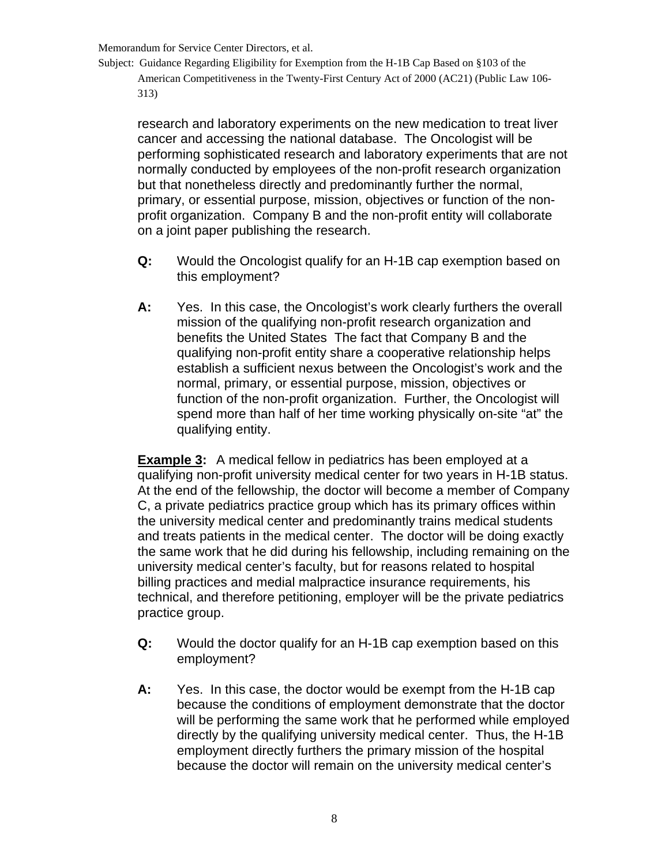Subject: Guidance Regarding Eligibility for Exemption from the H-1B Cap Based on §103 of the American Competitiveness in the Twenty-First Century Act of 2000 (AC21) (Public Law 106- 313)

research and laboratory experiments on the new medication to treat liver cancer and accessing the national database. The Oncologist will be performing sophisticated research and laboratory experiments that are not normally conducted by employees of the non-profit research organization but that nonetheless directly and predominantly further the normal, primary, or essential purpose, mission, objectives or function of the nonprofit organization. Company B and the non-profit entity will collaborate on a joint paper publishing the research.

- **Q:** Would the Oncologist qualify for an H-1B cap exemption based on this employment?
- **A:** Yes. In this case, the Oncologist's work clearly furthers the overall mission of the qualifying non-profit research organization and benefits the United States The fact that Company B and the qualifying non-profit entity share a cooperative relationship helps establish a sufficient nexus between the Oncologist's work and the normal, primary, or essential purpose, mission, objectives or function of the non-profit organization. Further, the Oncologist will spend more than half of her time working physically on-site "at" the qualifying entity.

**Example 3:** A medical fellow in pediatrics has been employed at a qualifying non-profit university medical center for two years in H-1B status. At the end of the fellowship, the doctor will become a member of Company C, a private pediatrics practice group which has its primary offices within the university medical center and predominantly trains medical students and treats patients in the medical center. The doctor will be doing exactly the same work that he did during his fellowship, including remaining on the university medical center's faculty, but for reasons related to hospital billing practices and medial malpractice insurance requirements, his technical, and therefore petitioning, employer will be the private pediatrics practice group.

- **Q:** Would the doctor qualify for an H-1B cap exemption based on this employment?
- **A:** Yes. In this case, the doctor would be exempt from the H-1B cap because the conditions of employment demonstrate that the doctor will be performing the same work that he performed while employed directly by the qualifying university medical center. Thus, the H-1B employment directly furthers the primary mission of the hospital because the doctor will remain on the university medical center's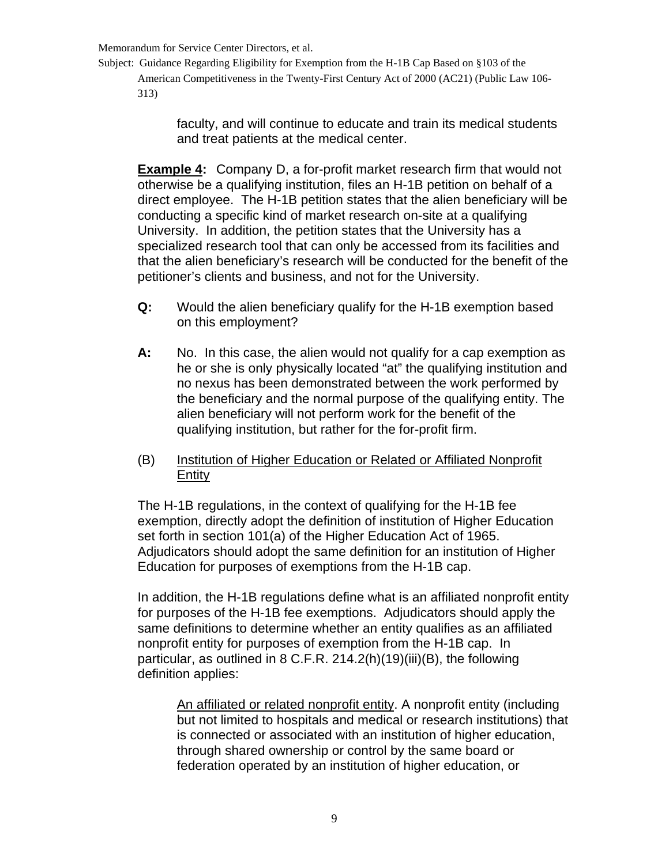Subject: Guidance Regarding Eligibility for Exemption from the H-1B Cap Based on §103 of the American Competitiveness in the Twenty-First Century Act of 2000 (AC21) (Public Law 106- 313)

> faculty, and will continue to educate and train its medical students and treat patients at the medical center.

**Example 4:** Company D, a for-profit market research firm that would not otherwise be a qualifying institution, files an H-1B petition on behalf of a direct employee. The H-1B petition states that the alien beneficiary will be conducting a specific kind of market research on-site at a qualifying University. In addition, the petition states that the University has a specialized research tool that can only be accessed from its facilities and that the alien beneficiary's research will be conducted for the benefit of the petitioner's clients and business, and not for the University.

- **Q:** Would the alien beneficiary qualify for the H-1B exemption based on this employment?
- **A:** No. In this case, the alien would not qualify for a cap exemption as he or she is only physically located "at" the qualifying institution and no nexus has been demonstrated between the work performed by the beneficiary and the normal purpose of the qualifying entity. The alien beneficiary will not perform work for the benefit of the qualifying institution, but rather for the for-profit firm.
- (B) Institution of Higher Education or Related or Affiliated Nonprofit Entity

The H-1B regulations, in the context of qualifying for the H-1B fee exemption, directly adopt the definition of institution of Higher Education set forth in section 101(a) of the Higher Education Act of 1965. Adjudicators should adopt the same definition for an institution of Higher Education for purposes of exemptions from the H-1B cap.

In addition, the H-1B regulations define what is an affiliated nonprofit entity for purposes of the H-1B fee exemptions. Adjudicators should apply the same definitions to determine whether an entity qualifies as an affiliated nonprofit entity for purposes of exemption from the H-1B cap. In particular, as outlined in 8 C.F.R. 214.2(h)(19)(iii)(B), the following definition applies:

An affiliated or related nonprofit entity. A nonprofit entity (including but not limited to hospitals and medical or research institutions) that is connected or associated with an institution of higher education, through shared ownership or control by the same board or federation operated by an institution of higher education, or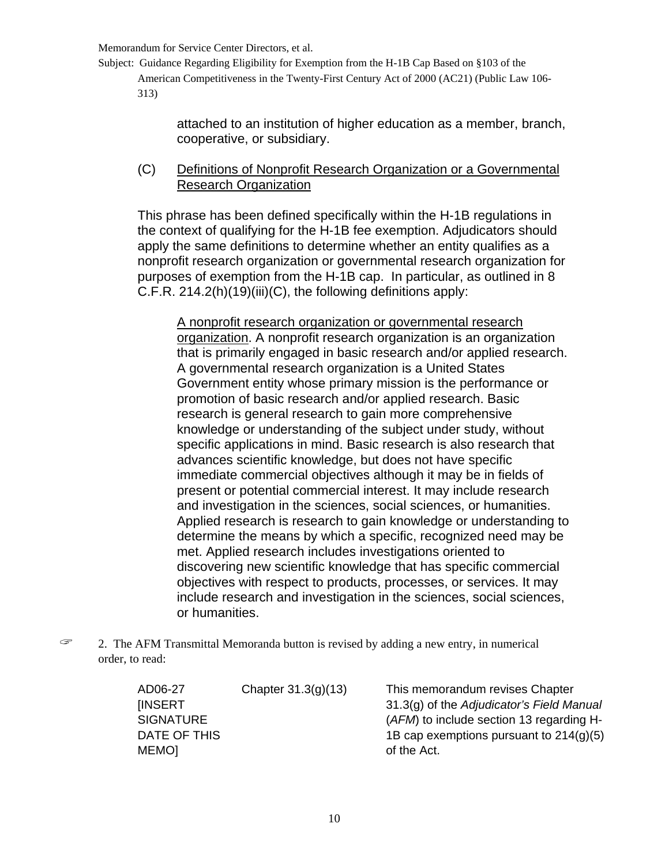Subject: Guidance Regarding Eligibility for Exemption from the H-1B Cap Based on §103 of the American Competitiveness in the Twenty-First Century Act of 2000 (AC21) (Public Law 106- 313)

> attached to an institution of higher education as a member, branch, cooperative, or subsidiary.

(C) Definitions of Nonprofit Research Organization or a Governmental Research Organization

This phrase has been defined specifically within the H-1B regulations in the context of qualifying for the H-1B fee exemption. Adjudicators should apply the same definitions to determine whether an entity qualifies as a nonprofit research organization or governmental research organization for purposes of exemption from the H-1B cap. In particular, as outlined in 8 C.F.R. 214.2(h)(19)(iii)(C), the following definitions apply:

A nonprofit research organization or governmental research organization. A nonprofit research organization is an organization that is primarily engaged in basic research and/or applied research. A governmental research organization is a United States Government entity whose primary mission is the performance or promotion of basic research and/or applied research. Basic research is general research to gain more comprehensive knowledge or understanding of the subject under study, without specific applications in mind. Basic research is also research that advances scientific knowledge, but does not have specific immediate commercial objectives although it may be in fields of present or potential commercial interest. It may include research and investigation in the sciences, social sciences, or humanities. Applied research is research to gain knowledge or understanding to determine the means by which a specific, recognized need may be met. Applied research includes investigations oriented to discovering new scientific knowledge that has specific commercial objectives with respect to products, processes, or services. It may include research and investigation in the sciences, social sciences, or humanities.

 $\mathcal{F}$  2. The AFM Transmittal Memoranda button is revised by adding a new entry, in numerical order, to read:

| AD06-27          | Chapter $31.3(g)(13)$ | This memorandum revises Chapter           |
|------------------|-----------------------|-------------------------------------------|
| <b>IINSERT</b>   |                       | 31.3(g) of the Adjudicator's Field Manual |
| <b>SIGNATURE</b> |                       | (AFM) to include section 13 regarding H-  |
| DATE OF THIS     |                       | 1B cap exemptions pursuant to $214(q)(5)$ |
| MEMO]            |                       | of the Act.                               |
|                  |                       |                                           |